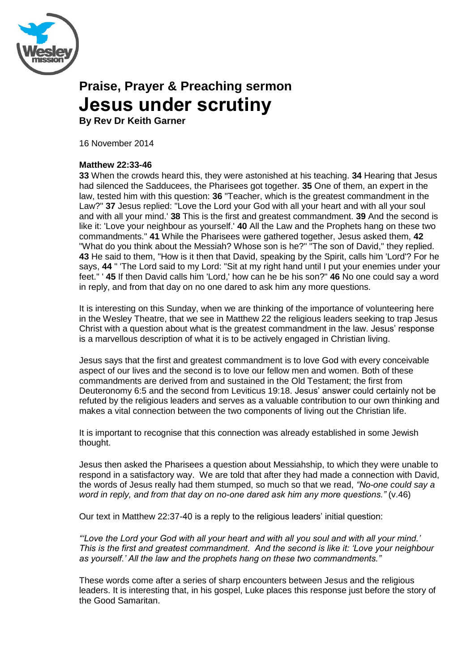

# **Praise, Prayer & Preaching sermon Jesus under scrutiny**

**By Rev Dr Keith Garner**

16 November 2014

## **Matthew 22:33-46**

**33** When the crowds heard this, they were astonished at his teaching. **34** Hearing that Jesus had silenced the Sadducees, the Pharisees got together. **35** One of them, an expert in the law, tested him with this question: **36** "Teacher, which is the greatest commandment in the Law?" **37** Jesus replied: "Love the Lord your God with all your heart and with all your soul and with all your mind.' **38** This is the first and greatest commandment. **39** And the second is like it: 'Love your neighbour as yourself.' **40** All the Law and the Prophets hang on these two commandments." **41** While the Pharisees were gathered together, Jesus asked them, **42** "What do you think about the Messiah? Whose son is he?" "The son of David," they replied. **43** He said to them, "How is it then that David, speaking by the Spirit, calls him 'Lord'? For he says, **44** " 'The Lord said to my Lord: "Sit at my right hand until I put your enemies under your feet." ' **45** If then David calls him 'Lord,' how can he be his son?" **46** No one could say a word in reply, and from that day on no one dared to ask him any more questions.

It is interesting on this Sunday, when we are thinking of the importance of volunteering here in the Wesley Theatre, that we see in Matthew 22 the religious leaders seeking to trap Jesus Christ with a question about what is the greatest commandment in the law. Jesus" response is a marvellous description of what it is to be actively engaged in Christian living.

Jesus says that the first and greatest commandment is to love God with every conceivable aspect of our lives and the second is to love our fellow men and women. Both of these commandments are derived from and sustained in the Old Testament; the first from Deuteronomy 6:5 and the second from Leviticus 19:18. Jesus" answer could certainly not be refuted by the religious leaders and serves as a valuable contribution to our own thinking and makes a vital connection between the two components of living out the Christian life.

It is important to recognise that this connection was already established in some Jewish thought.

Jesus then asked the Pharisees a question about Messiahship, to which they were unable to respond in a satisfactory way. We are told that after they had made a connection with David, the words of Jesus really had them stumped, so much so that we read, *"No-one could say a word in reply, and from that day on no-one dared ask him any more questions."* (v.46)

Our text in Matthew 22:37-40 is a reply to the religious leaders' initial question:

*""Love the Lord your God with all your heart and with all you soul and with all your mind." This is the first and greatest commandment. And the second is like it: "Love your neighbour as yourself." All the law and the prophets hang on these two commandments."*

These words come after a series of sharp encounters between Jesus and the religious leaders. It is interesting that, in his gospel, Luke places this response just before the story of the Good Samaritan.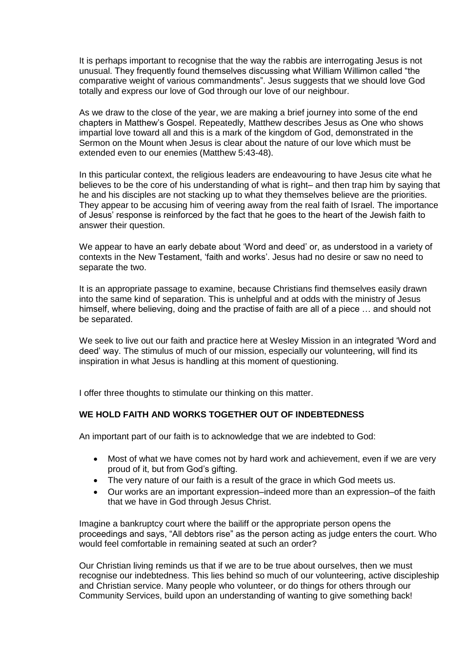It is perhaps important to recognise that the way the rabbis are interrogating Jesus is not unusual. They frequently found themselves discussing what William Willimon called "the comparative weight of various commandments". Jesus suggests that we should love God totally and express our love of God through our love of our neighbour.

As we draw to the close of the year, we are making a brief journey into some of the end chapters in Matthew"s Gospel. Repeatedly, Matthew describes Jesus as One who shows impartial love toward all and this is a mark of the kingdom of God, demonstrated in the Sermon on the Mount when Jesus is clear about the nature of our love which must be extended even to our enemies (Matthew 5:43-48).

In this particular context, the religious leaders are endeavouring to have Jesus cite what he believes to be the core of his understanding of what is right– and then trap him by saying that he and his disciples are not stacking up to what they themselves believe are the priorities. They appear to be accusing him of veering away from the real faith of Israel. The importance of Jesus" response is reinforced by the fact that he goes to the heart of the Jewish faith to answer their question.

We appear to have an early debate about 'Word and deed' or, as understood in a variety of contexts in the New Testament, "faith and works". Jesus had no desire or saw no need to separate the two.

It is an appropriate passage to examine, because Christians find themselves easily drawn into the same kind of separation. This is unhelpful and at odds with the ministry of Jesus himself, where believing, doing and the practise of faith are all of a piece ... and should not be separated.

We seek to live out our faith and practice here at Wesley Mission in an integrated "Word and deed" way. The stimulus of much of our mission, especially our volunteering, will find its inspiration in what Jesus is handling at this moment of questioning.

I offer three thoughts to stimulate our thinking on this matter.

### **WE HOLD FAITH AND WORKS TOGETHER OUT OF INDEBTEDNESS**

An important part of our faith is to acknowledge that we are indebted to God:

- Most of what we have comes not by hard work and achievement, even if we are very proud of it, but from God"s gifting.
- The very nature of our faith is a result of the grace in which God meets us.
- Our works are an important expression–indeed more than an expression–of the faith that we have in God through Jesus Christ.

Imagine a bankruptcy court where the bailiff or the appropriate person opens the proceedings and says, "All debtors rise" as the person acting as judge enters the court. Who would feel comfortable in remaining seated at such an order?

Our Christian living reminds us that if we are to be true about ourselves, then we must recognise our indebtedness. This lies behind so much of our volunteering, active discipleship and Christian service. Many people who volunteer, or do things for others through our Community Services, build upon an understanding of wanting to give something back!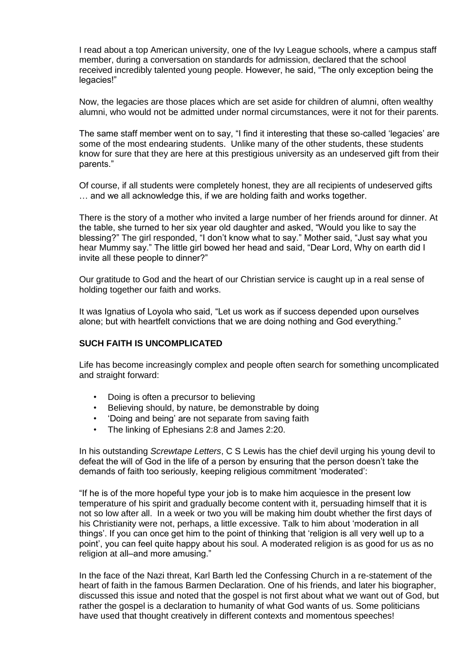I read about a top American university, one of the Ivy League schools, where a campus staff member, during a conversation on standards for admission, declared that the school received incredibly talented young people. However, he said, "The only exception being the legacies!"

Now, the legacies are those places which are set aside for children of alumni, often wealthy alumni, who would not be admitted under normal circumstances, were it not for their parents.

The same staff member went on to say, "I find it interesting that these so-called "legacies" are some of the most endearing students. Unlike many of the other students, these students know for sure that they are here at this prestigious university as an undeserved gift from their parents."

Of course, if all students were completely honest, they are all recipients of undeserved gifts … and we all acknowledge this, if we are holding faith and works together.

There is the story of a mother who invited a large number of her friends around for dinner. At the table, she turned to her six year old daughter and asked, "Would you like to say the blessing?" The girl responded, "I don"t know what to say." Mother said, "Just say what you hear Mummy say." The little girl bowed her head and said, "Dear Lord, Why on earth did I invite all these people to dinner?"

Our gratitude to God and the heart of our Christian service is caught up in a real sense of holding together our faith and works.

It was Ignatius of Loyola who said, "Let us work as if success depended upon ourselves alone; but with heartfelt convictions that we are doing nothing and God everything."

### **SUCH FAITH IS UNCOMPLICATED**

Life has become increasingly complex and people often search for something uncomplicated and straight forward:

- Doing is often a precursor to believing
- Believing should, by nature, be demonstrable by doing
- "Doing and being" are not separate from saving faith
- The linking of Ephesians 2:8 and James 2:20.

In his outstanding *Screwtape Letters*, C S Lewis has the chief devil urging his young devil to defeat the will of God in the life of a person by ensuring that the person doesn"t take the demands of faith too seriously, keeping religious commitment "moderated":

"If he is of the more hopeful type your job is to make him acquiesce in the present low temperature of his spirit and gradually become content with it, persuading himself that it is not so low after all. In a week or two you will be making him doubt whether the first days of his Christianity were not, perhaps, a little excessive. Talk to him about "moderation in all things". If you can once get him to the point of thinking that "religion is all very well up to a point", you can feel quite happy about his soul. A moderated religion is as good for us as no religion at all–and more amusing."

In the face of the Nazi threat, Karl Barth led the Confessing Church in a re-statement of the heart of faith in the famous Barmen Declaration. One of his friends, and later his biographer, discussed this issue and noted that the gospel is not first about what we want out of God, but rather the gospel is a declaration to humanity of what God wants of us. Some politicians have used that thought creatively in different contexts and momentous speeches!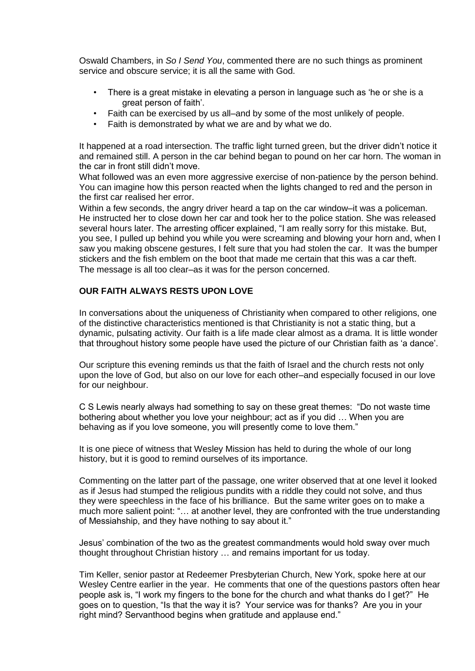Oswald Chambers, in *So I Send You*, commented there are no such things as prominent service and obscure service; it is all the same with God.

- There is a great mistake in elevating a person in language such as "he or she is a great person of faith".
- Faith can be exercised by us all–and by some of the most unlikely of people.
- Faith is demonstrated by what we are and by what we do.

It happened at a road intersection. The traffic light turned green, but the driver didn"t notice it and remained still. A person in the car behind began to pound on her car horn. The woman in the car in front still didn"t move.

What followed was an even more aggressive exercise of non-patience by the person behind. You can imagine how this person reacted when the lights changed to red and the person in the first car realised her error.

Within a few seconds, the angry driver heard a tap on the car window–it was a policeman. He instructed her to close down her car and took her to the police station. She was released several hours later. The arresting officer explained, "I am really sorry for this mistake. But, you see, I pulled up behind you while you were screaming and blowing your horn and, when I saw you making obscene gestures, I felt sure that you had stolen the car. It was the bumper stickers and the fish emblem on the boot that made me certain that this was a car theft. The message is all too clear–as it was for the person concerned.

### **OUR FAITH ALWAYS RESTS UPON LOVE**

In conversations about the uniqueness of Christianity when compared to other religions, one of the distinctive characteristics mentioned is that Christianity is not a static thing, but a dynamic, pulsating activity. Our faith is a life made clear almost as a drama. It is little wonder that throughout history some people have used the picture of our Christian faith as "a dance".

Our scripture this evening reminds us that the faith of Israel and the church rests not only upon the love of God, but also on our love for each other–and especially focused in our love for our neighbour.

C S Lewis nearly always had something to say on these great themes: "Do not waste time bothering about whether you love your neighbour; act as if you did … When you are behaving as if you love someone, you will presently come to love them."

It is one piece of witness that Wesley Mission has held to during the whole of our long history, but it is good to remind ourselves of its importance.

Commenting on the latter part of the passage, one writer observed that at one level it looked as if Jesus had stumped the religious pundits with a riddle they could not solve, and thus they were speechless in the face of his brilliance. But the same writer goes on to make a much more salient point: "… at another level, they are confronted with the true understanding of Messiahship, and they have nothing to say about it."

Jesus" combination of the two as the greatest commandments would hold sway over much thought throughout Christian history … and remains important for us today.

Tim Keller, senior pastor at Redeemer Presbyterian Church, New York, spoke here at our Wesley Centre earlier in the year. He comments that one of the questions pastors often hear people ask is, "I work my fingers to the bone for the church and what thanks do I get?" He goes on to question, "Is that the way it is? Your service was for thanks? Are you in your right mind? Servanthood begins when gratitude and applause end."